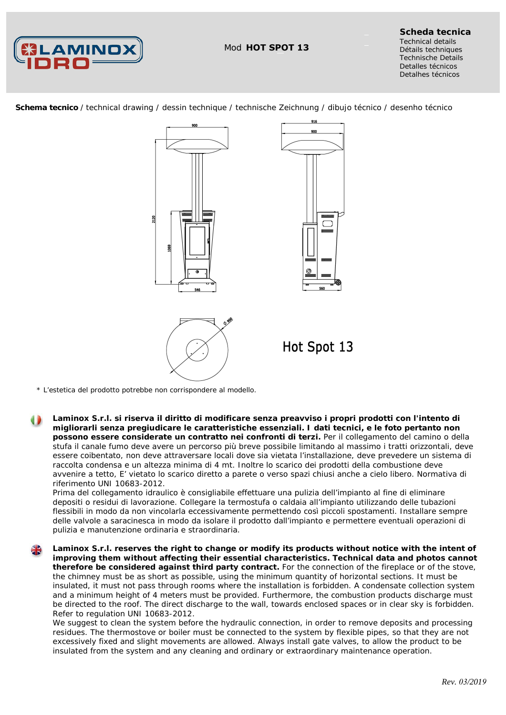

**Scheda tecnica** *Technical details Détails techniques Technische Details Detalles técnicos Detalhes técnicos*

 **Schema tecnico** / technical drawing / dessin technique / technische Zeichnung / dibujo técnico / desenho técnico



*\* L'estetica del prodotto potrebbe non corrispondere al modello.*

**Laminox S.r.l. si riserva il diritto di modificare senza preavviso i propri prodotti con l'intento di migliorarli senza pregiudicare le caratteristiche essenziali. I dati tecnici, e le foto pertanto non possono essere considerate un contratto nei confronti di terzi.** Per il collegamento del camino o della stufa il canale fumo deve avere un percorso più breve possibile limitando al massimo i tratti orizzontali, deve essere coibentato, non deve attraversare locali dove sia vietata l'installazione, deve prevedere un sistema di raccolta condensa e un altezza minima di 4 mt. Inoltre lo scarico dei prodotti della combustione deve avvenire a tetto, E' vietato lo scarico diretto a parete o verso spazi chiusi anche a cielo libero. Normativa di riferimento UNI 10683-2012.

Prima del collegamento idraulico è consigliabile effettuare una pulizia dell'impianto al fine di eliminare depositi o residui di lavorazione. Collegare la termostufa o caldaia all'impianto utilizzando delle tubazioni flessibili in modo da non vincolarla eccessivamente permettendo così piccoli spostamenti. Installare sempre delle valvole a saracinesca in modo da isolare il prodotto dall'impianto e permettere eventuali operazioni di pulizia e manutenzione ordinaria e straordinaria.

Laminox S.r.l. reserves the right to change or modify its products without notice with the intent of *improving them without affecting their essential characteristics. Technical data and photos cannot therefore be considered against third party contract. For the connection of the fireplace or of the stove, the chimney must be as short as possible, using the minimum quantity of horizontal sections. It must be insulated, it must not pass through rooms where the installation is forbidden. A condensate collection system and a minimum height of 4 meters must be provided. Furthermore, the combustion products discharge must be directed to the roof. The direct discharge to the wall, towards enclosed spaces or in clear sky is forbidden. Refer to regulation UNI 10683-2012.*

*We suggest to clean the system before the hydraulic connection, in order to remove deposits and processing residues. The thermostove or boiler must be connected to the system by flexible pipes, so that they are not excessively fixed and slight movements are allowed. Always install gate valves, to allow the product to be insulated from the system and any cleaning and ordinary or extraordinary maintenance operation.*